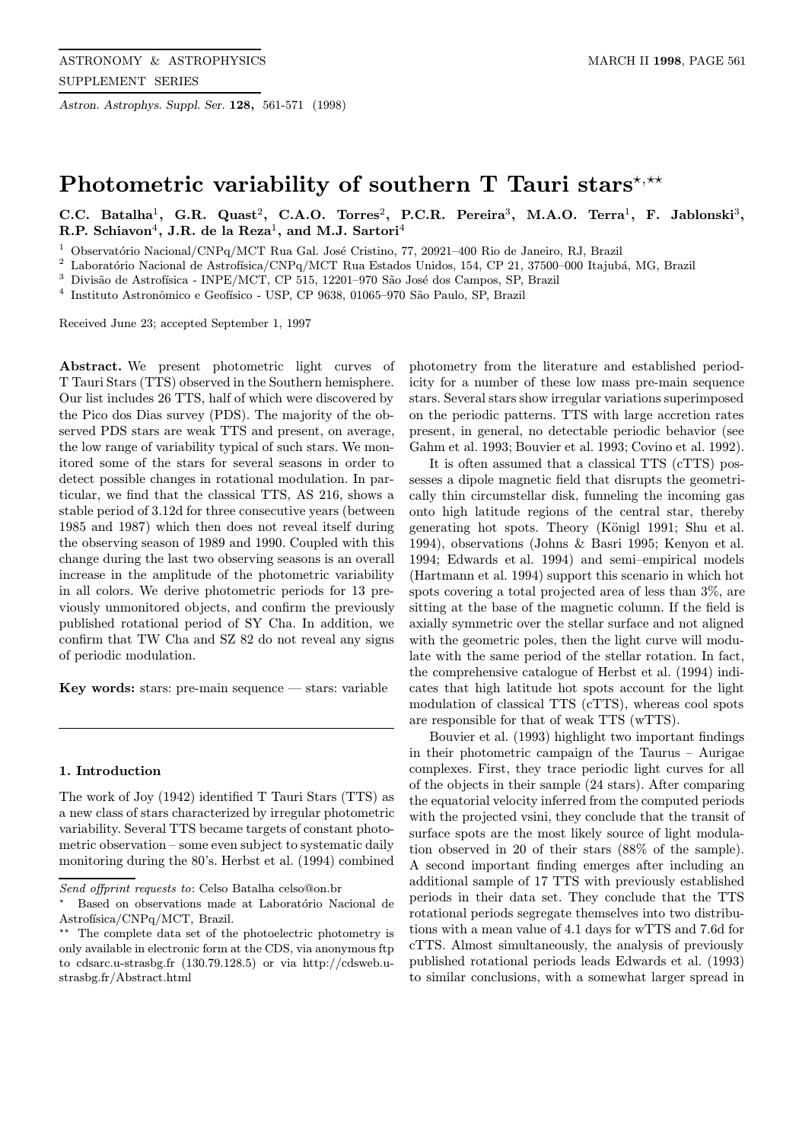Astron. Astrophys. Suppl. Ser. 128, 561-571 (1998)

# Photometric variability of southern T Tauri stars<sup>\*,\*\*</sup>

C.C. Batalha<sup>1</sup>, G.R. Quast<sup>2</sup>, C.A.O. Torres<sup>2</sup>, P.C.R. Pereira<sup>3</sup>, M.A.O. Terra<sup>1</sup>, F. Jablonski<sup>3</sup>, R.P. Schiavon<sup>4</sup>, J.R. de la Reza<sup>1</sup>, and M.J. Sartori<sup>4</sup>

<sup>1</sup> Observatório Nacional/CNPq/MCT Rua Gal. José Cristino, 77, 20921–400 Rio de Janeiro, RJ, Brazil

 $^2$  Laboratório Nacional de Astrofísica/CNPq/MCT Rua Estados Unidos, 154, CP 21, 37500–000 Itajubá, MG, Brazil

 $^3$  Divisão de Astrofísica - INPE/MCT, CP 515, 12201–970 São José dos Campos, SP, Brazil

 $^4\,$ Instituto Astronômico e Geofísico - USP, CP 9638, 01065–970 São Paulo, SP, Brazil

Received June 23; accepted September 1, 1997

Abstract. We present photometric light curves of T Tauri Stars (TTS) observed in the Southern hemisphere. Our list includes 26 TTS, half of which were discovered by the Pico dos Dias survey (PDS). The majority of the observed PDS stars are weak TTS and present, on average, the low range of variability typical of such stars. We monitored some of the stars for several seasons in order to detect possible changes in rotational modulation. In particular, we find that the classical TTS, AS 216, shows a stable period of 3.12d for three consecutive years (between 1985 and 1987) which then does not reveal itself during the observing season of 1989 and 1990. Coupled with this change during the last two observing seasons is an overall increase in the amplitude of the photometric variability in all colors. We derive photometric periods for 13 previously unmonitored objects, and confirm the previously published rotational period of SY Cha. In addition, we confirm that TW Cha and SZ 82 do not reveal any signs of periodic modulation.

Key words: stars: pre-main sequence  $-$  stars: variable

#### 1. Introduction

The work of Joy (1942) identified T Tauri Stars (TTS) as a new class of stars characterized by irregular photometric variability. Several TTS became targets of constant photometric observation – some even subject to systematic daily monitoring during the 80's. Herbst et al. (1994) combined

photometry from the literature and established periodicity for a number of these low mass pre-main sequence stars. Several stars show irregular variations superimposed on the periodic patterns. TTS with large accretion rates present, in general, no detectable periodic behavior (see Gahm et al. 1993; Bouvier et al. 1993; Covino et al. 1992).

It is often assumed that a classical TTS (cTTS) possesses a dipole magnetic field that disrupts the geometrically thin circumstellar disk, funneling the incoming gas onto high latitude regions of the central star, thereby generating hot spots. Theory (Königl 1991; Shu et al. 1994), observations (Johns & Basri 1995; Kenyon et al. 1994; Edwards et al. 1994) and semi–empirical models (Hartmann et al. 1994) support this scenario in which hot spots covering a total projected area of less than 3%, are sitting at the base of the magnetic column. If the field is axially symmetric over the stellar surface and not aligned with the geometric poles, then the light curve will modulate with the same period of the stellar rotation. In fact, the comprehensive catalogue of Herbst et al. (1994) indicates that high latitude hot spots account for the light modulation of classical TTS (cTTS), whereas cool spots are responsible for that of weak TTS (wTTS).

Bouvier et al. (1993) highlight two important findings in their photometric campaign of the Taurus – Aurigae complexes. First, they trace periodic light curves for all of the objects in their sample (24 stars). After comparing the equatorial velocity inferred from the computed periods with the projected vsini, they conclude that the transit of surface spots are the most likely source of light modulation observed in 20 of their stars (88% of the sample). A second important finding emerges after including an additional sample of 17 TTS with previously established periods in their data set. They conclude that the TTS rotational periods segregate themselves into two distributions with a mean value of 4.1 days for wTTS and 7.6d for cTTS. Almost simultaneously, the analysis of previously published rotational periods leads Edwards et al. (1993) to similar conclusions, with a somewhat larger spread in

Send offprint requests to: Celso Batalha celso@on.br

Based on observations made at Laboratório Nacional de Astrofísica/CNPq/MCT, Brazil.

<sup>\*\*</sup> The complete data set of the photoelectric photometry is only available in electronic form at the CDS, via anonymous ftp to cdsarc.u-strasbg.fr (130.79.128.5) or via http://cdsweb.ustrasbg.fr/Abstract.html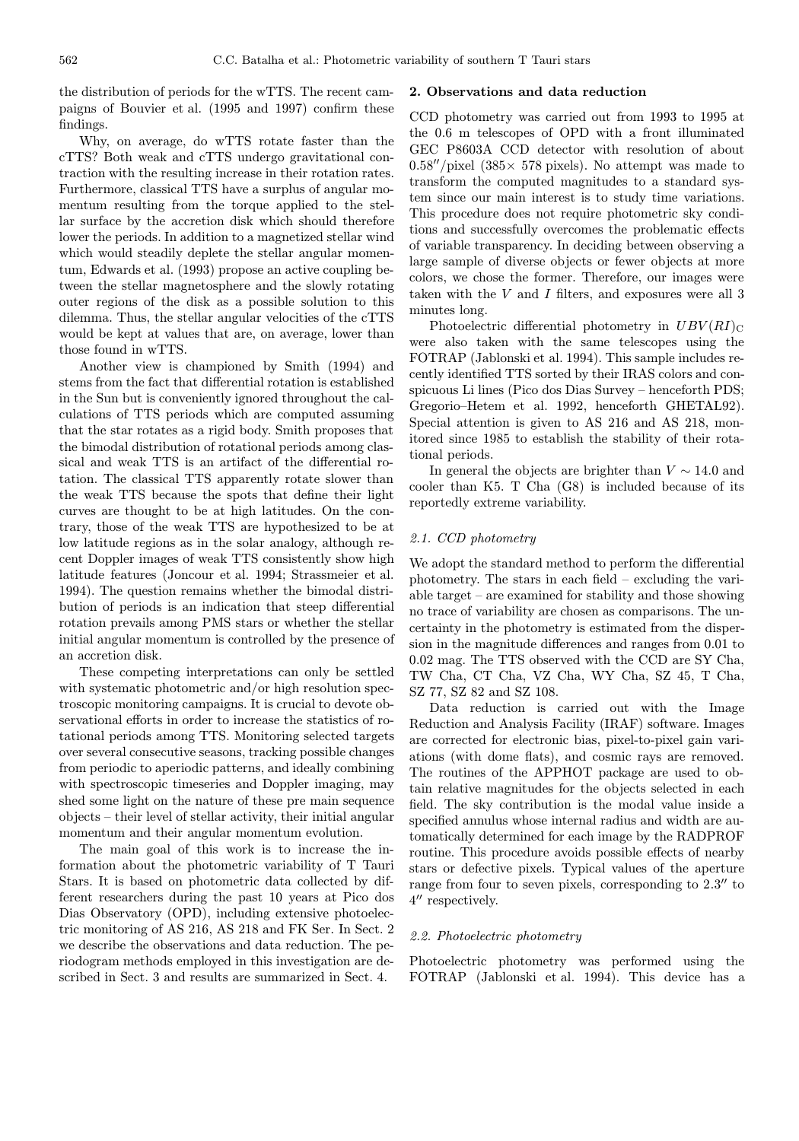the distribution of periods for the wTTS. The recent campaigns of Bouvier et al. (1995 and 1997) confirm these findings.

Why, on average, do wTTS rotate faster than the cTTS? Both weak and cTTS undergo gravitational contraction with the resulting increase in their rotation rates. Furthermore, classical TTS have a surplus of angular momentum resulting from the torque applied to the stellar surface by the accretion disk which should therefore lower the periods. In addition to a magnetized stellar wind which would steadily deplete the stellar angular momentum, Edwards et al. (1993) propose an active coupling between the stellar magnetosphere and the slowly rotating outer regions of the disk as a possible solution to this dilemma. Thus, the stellar angular velocities of the cTTS would be kept at values that are, on average, lower than those found in wTTS.

Another view is championed by Smith (1994) and stems from the fact that differential rotation is established in the Sun but is conveniently ignored throughout the calculations of TTS periods which are computed assuming that the star rotates as a rigid body. Smith proposes that the bimodal distribution of rotational periods among classical and weak TTS is an artifact of the differential rotation. The classical TTS apparently rotate slower than the weak TTS because the spots that define their light curves are thought to be at high latitudes. On the contrary, those of the weak TTS are hypothesized to be at low latitude regions as in the solar analogy, although recent Doppler images of weak TTS consistently show high latitude features (Joncour et al. 1994; Strassmeier et al. 1994). The question remains whether the bimodal distribution of periods is an indication that steep differential rotation prevails among PMS stars or whether the stellar initial angular momentum is controlled by the presence of an accretion disk.

These competing interpretations can only be settled with systematic photometric and/or high resolution spectroscopic monitoring campaigns. It is crucial to devote observational efforts in order to increase the statistics of rotational periods among TTS. Monitoring selected targets over several consecutive seasons, tracking possible changes from periodic to aperiodic patterns, and ideally combining with spectroscopic timeseries and Doppler imaging, may shed some light on the nature of these pre main sequence objects – their level of stellar activity, their initial angular momentum and their angular momentum evolution.

The main goal of this work is to increase the information about the photometric variability of T Tauri Stars. It is based on photometric data collected by different researchers during the past 10 years at Pico dos Dias Observatory (OPD), including extensive photoelectric monitoring of AS 216, AS 218 and FK Ser. In Sect. 2 we describe the observations and data reduction. The periodogram methods employed in this investigation are described in Sect. 3 and results are summarized in Sect. 4.

#### 2. Observations and data reduction

CCD photometry was carried out from 1993 to 1995 at the 0.6 m telescopes of OPD with a front illuminated GEC P8603A CCD detector with resolution of about  $0.58''/pixel$  (385 $\times$  578 pixels). No attempt was made to transform the computed magnitudes to a standard system since our main interest is to study time variations. This procedure does not require photometric sky conditions and successfully overcomes the problematic effects of variable transparency. In deciding between observing a large sample of diverse objects or fewer objects at more colors, we chose the former. Therefore, our images were taken with the  $V$  and  $I$  filters, and exposures were all  $3$ minutes long.

Photoelectric differential photometry in  $UBV(RI)_{\text{C}}$ were also taken with the same telescopes using the FOTRAP (Jablonski et al. 1994). This sample includes recently identified TTS sorted by their IRAS colors and conspicuous Li lines (Pico dos Dias Survey – henceforth PDS; Gregorio–Hetem et al. 1992, henceforth GHETAL92). Special attention is given to AS 216 and AS 218, monitored since 1985 to establish the stability of their rotational periods.

In general the objects are brighter than  $V \sim 14.0$  and cooler than K5. T Cha (G8) is included because of its reportedly extreme variability.

#### 2.1. CCD photometry

We adopt the standard method to perform the differential photometry. The stars in each field – excluding the variable target – are examined for stability and those showing no trace of variability are chosen as comparisons. The uncertainty in the photometry is estimated from the dispersion in the magnitude differences and ranges from 0.01 to 0.02 mag. The TTS observed with the CCD are SY Cha, TW Cha, CT Cha, VZ Cha, WY Cha, SZ 45, T Cha, SZ 77, SZ 82 and SZ 108.

Data reduction is carried out with the Image Reduction and Analysis Facility (IRAF) software. Images are corrected for electronic bias, pixel-to-pixel gain variations (with dome flats), and cosmic rays are removed. The routines of the APPHOT package are used to obtain relative magnitudes for the objects selected in each field. The sky contribution is the modal value inside a specified annulus whose internal radius and width are automatically determined for each image by the RADPROF routine. This procedure avoids possible effects of nearby stars or defective pixels. Typical values of the aperture range from four to seven pixels, corresponding to  $2.3$ <sup>"</sup> to  $4^{\prime\prime}$  respectively.

#### 2.2. Photoelectric photometry

Photoelectric photometry was performed using the FOTRAP (Jablonski et al. 1994). This device has a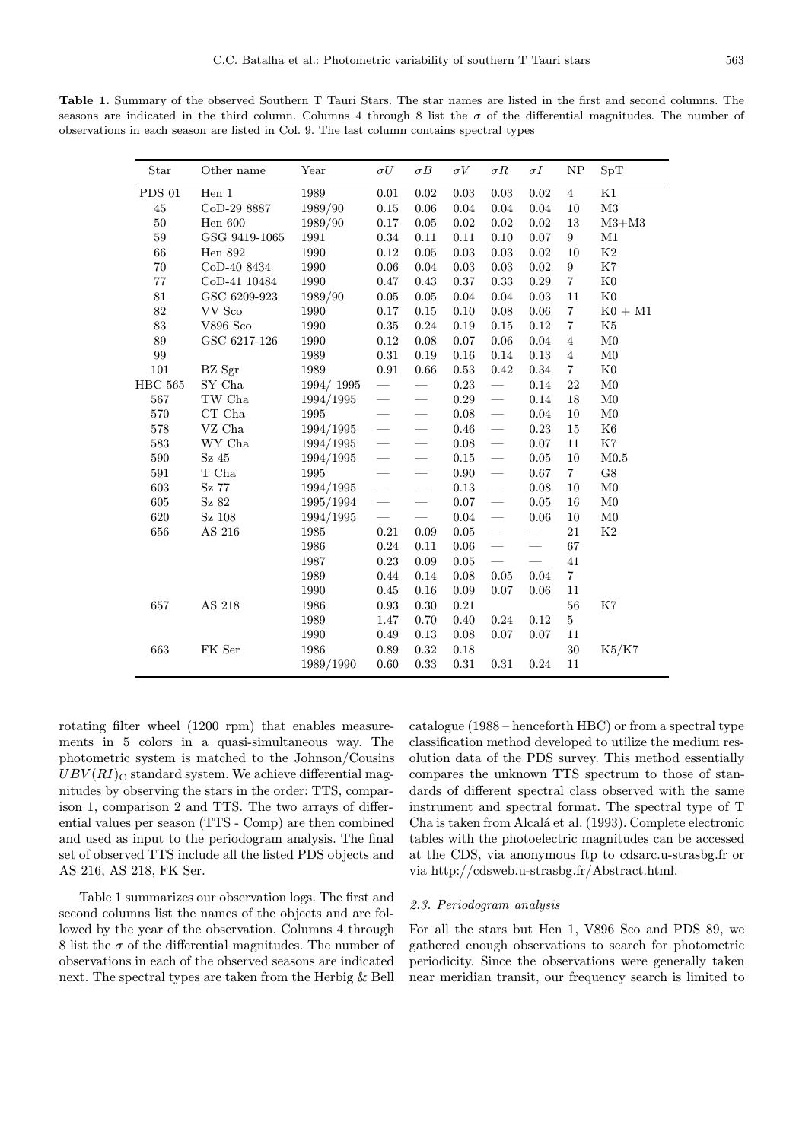Table 1. Summary of the observed Southern T Tauri Stars. The star names are listed in the first and second columns. The seasons are indicated in the third column. Columns 4 through 8 list the  $\sigma$  of the differential magnitudes. The number of observations in each season are listed in Col. 9. The last column contains spectral types

| Star          | Other name              | Year      | $\sigma U$               | $\sigma B$                       | $\sigma V$ | $\sigma R$               | $\sigma I$ | NP                      | SpT            |
|---------------|-------------------------|-----------|--------------------------|----------------------------------|------------|--------------------------|------------|-------------------------|----------------|
| <b>PDS 01</b> | Hen 1                   | 1989      | 0.01                     | 0.02                             | 0.03       | 0.03                     | 0.02       | $\overline{4}$          | K1             |
| 45            | CoD-29 8887             | 1989/90   | 0.15                     | 0.06                             | 0.04       | 0.04                     | 0.04       | 10                      | $\rm M3$       |
| 50            | Hen $600$               | 1989/90   | $0.17\,$                 | 0.05                             | 0.02       | 0.02                     | 0.02       | 13                      | $M3+M3$        |
| $59\,$        | GSG 9419-1065           | 1991      | 0.34                     | 0.11                             | 0.11       | $0.10\,$                 | 0.07       | $\boldsymbol{9}$        | M1             |
| 66            | Hen 892                 | 1990      | 0.12                     | $0.05\,$                         | $\rm 0.03$ | 0.03                     | 0.02       | 10                      | $\rm K2$       |
| 70            | CoD-40 8434             | 1990      | 0.06                     | 0.04                             | 0.03       | 0.03                     | 0.02       | $\boldsymbol{9}$        | K7             |
| $77\,$        | CoD-41 10484            | 1990      | 0.47                     | 0.43                             | 0.37       | 0.33                     | 0.29       | $\overline{\mathbf{7}}$ | $_{\rm K0}$    |
| 81            | GSC 6209-923            | 1989/90   | 0.05                     | $0.05\,$                         | 0.04       | 0.04                     | 0.03       | 11                      | K <sub>0</sub> |
| 82            | VV Sco                  | 1990      | 0.17                     | $0.15\,$                         | 0.10       | 0.08                     | 0.06       | $\overline{7}$          | $KO+M1$        |
| 83            | <b>V896 Sco</b>         | 1990      | $\rm 0.35$               | 0.24                             | 0.19       | 0.15                     | 0.12       | $\overline{\mathbf{7}}$ | K <sub>5</sub> |
| 89            | GSC 6217-126            | 1990      | 0.12                     | 0.08                             | 0.07       | 0.06                     | 0.04       | $\overline{4}$          | M <sub>0</sub> |
| 99            |                         | 1989      | $\rm 0.31$               | 0.19                             | 0.16       | 0.14                     | 0.13       | $\bf{4}$                | $_{\rm M0}$    |
| 101           | BZ Sgr                  | 1989      | $\rm 0.91$               | 0.66                             | 0.53       | 0.42                     | $\rm 0.34$ | $\overline{\mathbf{7}}$ | $_{\rm K0}$    |
| $\rm HBC$ 565 | SY Cha                  | 1994/1995 |                          |                                  | 0.23       |                          | 0.14       | 22                      | M <sub>0</sub> |
| 567           | $\operatorname{TW}$ Cha | 1994/1995 | $\equiv$                 |                                  | 0.29       |                          | 0.14       | 18                      | M <sub>0</sub> |
| 570           | CT Cha                  | 1995      | $\frac{1}{2}$            | $\overline{\phantom{0}}$         | 0.08       |                          | 0.04       | 10                      | M <sub>0</sub> |
| 578           | VZ Cha                  | 1994/1995 | $\overline{\phantom{0}}$ |                                  | 0.46       |                          | 0.23       | 15                      | K <sub>6</sub> |
| 583           | WY Cha                  | 1994/1995 |                          | $\equiv$                         | 0.08       | $\equiv$                 | 0.07       | 11                      | $\rm K7$       |
| 590           | Sz45                    | 1994/1995 | $\overline{\phantom{0}}$ |                                  | 0.15       | $\frac{1}{1}$            | 0.05       | 10                      | M0.5           |
| $591\,$       | $\mathcal T$ Cha        | 1995      | $\overline{\phantom{0}}$ |                                  | $0.90\,$   | $\frac{1}{1}$            | 0.67       | $\overline{7}$          | $\rm{G}8$      |
| 603           | Sz 77                   | 1994/1995 | $\equiv$                 | $\overline{\phantom{0}}$         | 0.13       | $\frac{1}{1}$            | 0.08       | 10                      | M <sub>0</sub> |
| 605           | Sz 82                   | 1995/1994 | $\equiv$                 | $\frac{1}{2}$                    | 0.07       | $\overline{\phantom{0}}$ | 0.05       | 16                      | $_{\rm M0}$    |
| 620           | Sz 108                  | 1994/1995 | $\frac{1}{1}$            | $\overbrace{\qquad \qquad }^{ }$ | 0.04       | $\equiv$                 | 0.06       | $10\,$                  | $_{\rm M0}$    |
| 656           | AS 216                  | 1985      | $\rm 0.21$               | 0.09                             | 0.05       |                          |            | 21                      | K2             |
|               |                         | 1986      | 0.24                     | 0.11                             | 0.06       |                          |            | 67                      |                |
|               |                         | 1987      | 0.23                     | 0.09                             | 0.05       |                          |            | 41                      |                |
|               |                         | 1989      | 0.44                     | 0.14                             | 0.08       | 0.05                     | 0.04       | $\overline{7}$          |                |
|               |                         | 1990      | 0.45                     | 0.16                             | 0.09       | 0.07                     | 0.06       | 11                      |                |
| 657           | AS 218                  | 1986      | $\rm 0.93$               | $0.30\,$                         | 0.21       |                          |            | 56                      | $\rm K7$       |
|               |                         | 1989      | 1.47                     | 0.70                             | 0.40       | 0.24                     | 0.12       | $\bf 5$                 |                |
|               |                         | 1990      | 0.49                     | 0.13                             | 0.08       | $0.07\,$                 | 0.07       | $11\,$                  |                |
| 663           | FK Ser                  | 1986      | 0.89                     | $\rm 0.32$                       | 0.18       |                          |            | $30\,$                  | K5/K7          |
|               |                         | 1989/1990 | 0.60                     | 0.33                             | 0.31       | 0.31                     | 0.24       | 11                      |                |

rotating filter wheel (1200 rpm) that enables measurements in 5 colors in a quasi-simultaneous way. The photometric system is matched to the Johnson/Cousins  $UBV(RI)_{\text{C}}$  standard system. We achieve differential magnitudes by observing the stars in the order: TTS, comparison 1, comparison 2 and TTS. The two arrays of differential values per season (TTS - Comp) are then combined and used as input to the periodogram analysis. The final set of observed TTS include all the listed PDS objects and AS 216, AS 218, FK Ser.

Table 1 summarizes our observation logs. The first and second columns list the names of the objects and are followed by the year of the observation. Columns 4 through 8 list the  $\sigma$  of the differential magnitudes. The number of observations in each of the observed seasons are indicated next. The spectral types are taken from the Herbig & Bell

catalogue (1988 – henceforth HBC) or from a spectral type classification method developed to utilize the medium resolution data of the PDS survey. This method essentially compares the unknown TTS spectrum to those of standards of different spectral class observed with the same instrument and spectral format. The spectral type of T Cha is taken from Alcal´a et al. (1993). Complete electronic tables with the photoelectric magnitudes can be accessed at the CDS, via anonymous ftp to cdsarc.u-strasbg.fr or via http://cdsweb.u-strasbg.fr/Abstract.html.

## 2.3. Periodogram analysis

For all the stars but Hen 1, V896 Sco and PDS 89, we gathered enough observations to search for photometric periodicity. Since the observations were generally taken near meridian transit, our frequency search is limited to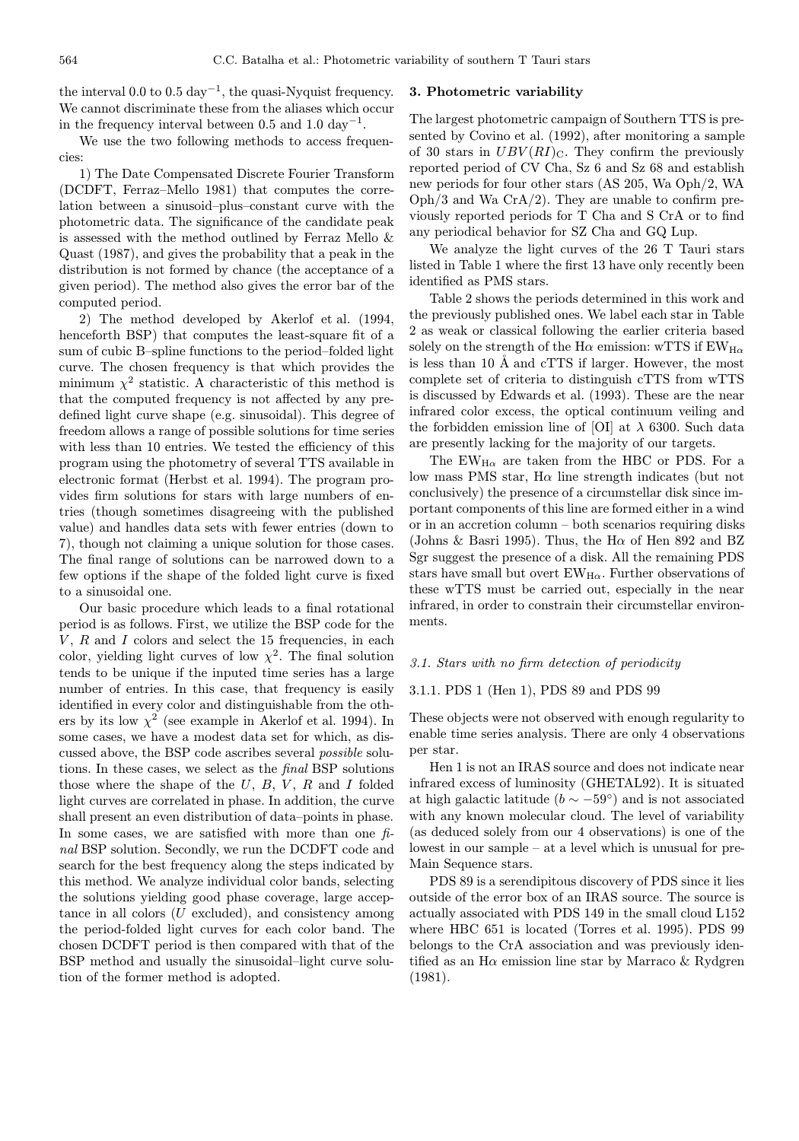the interval 0.0 to 0.5 day<sup>-1</sup>, the quasi-Nyquist frequency. We cannot discriminate these from the aliases which occur in the frequency interval between 0.5 and 1.0 day<sup>-1</sup>.

We use the two following methods to access frequencies:

1) The Date Compensated Discrete Fourier Transform (DCDFT, Ferraz–Mello 1981) that computes the correlation between a sinusoid–plus–constant curve with the photometric data. The significance of the candidate peak is assessed with the method outlined by Ferraz Mello & Quast (1987), and gives the probability that a peak in the distribution is not formed by chance (the acceptance of a given period). The method also gives the error bar of the computed period.

2) The method developed by Akerlof et al. (1994, henceforth BSP) that computes the least-square fit of a sum of cubic B–spline functions to the period–folded light curve. The chosen frequency is that which provides the minimum  $\chi^2$  statistic. A characteristic of this method is that the computed frequency is not affected by any predefined light curve shape (e.g. sinusoidal). This degree of freedom allows a range of possible solutions for time series with less than 10 entries. We tested the efficiency of this program using the photometry of several TTS available in electronic format (Herbst et al. 1994). The program provides firm solutions for stars with large numbers of entries (though sometimes disagreeing with the published value) and handles data sets with fewer entries (down to 7), though not claiming a unique solution for those cases. The final range of solutions can be narrowed down to a few options if the shape of the folded light curve is fixed to a sinusoidal one.

Our basic procedure which leads to a final rotational period is as follows. First, we utilize the BSP code for the  $V, R$  and  $I$  colors and select the 15 frequencies, in each color, yielding light curves of low  $\chi^2$ . The final solution tends to be unique if the inputed time series has a large number of entries. In this case, that frequency is easily identified in every color and distinguishable from the others by its low  $\chi^2$  (see example in Akerlof et al. 1994). In some cases, we have a modest data set for which, as discussed above, the BSP code ascribes several possible solutions. In these cases, we select as the final BSP solutions those where the shape of the  $U, B, V, R$  and I folded light curves are correlated in phase. In addition, the curve shall present an even distribution of data–points in phase. In some cases, we are satisfied with more than one  $f_i$ nal BSP solution. Secondly, we run the DCDFT code and search for the best frequency along the steps indicated by this method. We analyze individual color bands, selecting the solutions yielding good phase coverage, large acceptance in all colors  $(U \text{ excluded})$ , and consistency among the period-folded light curves for each color band. The chosen DCDFT period is then compared with that of the BSP method and usually the sinusoidal–light curve solution of the former method is adopted.

# 3. Photometric variability

The largest photometric campaign of Southern TTS is presented by Covino et al. (1992), after monitoring a sample of 30 stars in  $UBV(RI)_{\text{C}}$ . They confirm the previously reported period of CV Cha, Sz 6 and Sz 68 and establish new periods for four other stars (AS 205, Wa Oph/2, WA  $Oph/3$  and Wa  $CrA/2$ ). They are unable to confirm previously reported periods for T Cha and S CrA or to find any periodical behavior for SZ Cha and GQ Lup.

We analyze the light curves of the 26 T Tauri stars listed in Table 1 where the first 13 have only recently been identified as PMS stars.

Table 2 shows the periods determined in this work and the previously published ones. We label each star in Table 2 as weak or classical following the earlier criteria based solely on the strength of the H $\alpha$  emission: wTTS if EW<sub>H $\alpha$ </sub> is less than 10  $\AA$  and cTTS if larger. However, the most complete set of criteria to distinguish cTTS from wTTS is discussed by Edwards et al. (1993). These are the near infrared color excess, the optical continuum veiling and the forbidden emission line of [OI] at  $\lambda$  6300. Such data are presently lacking for the majority of our targets.

The  $EW_{H\alpha}$  are taken from the HBC or PDS. For a low mass PMS star,  $H\alpha$  line strength indicates (but not conclusively) the presence of a circumstellar disk since important components of this line are formed either in a wind or in an accretion column – both scenarios requiring disks (Johns & Basri 1995). Thus, the H $\alpha$  of Hen 892 and BZ Sgr suggest the presence of a disk. All the remaining PDS stars have small but overt  $EW_{H\alpha}$ . Further observations of these wTTS must be carried out, especially in the near infrared, in order to constrain their circumstellar environments.

# 3.1. Stars with no firm detection of periodicity

## 3.1.1. PDS 1 (Hen 1), PDS 89 and PDS 99

These objects were not observed with enough regularity to enable time series analysis. There are only 4 observations per star.

Hen 1 is not an IRAS source and does not indicate near infrared excess of luminosity (GHETAL92). It is situated at high galactic latitude ( $b \sim -59^{\circ}$ ) and is not associated with any known molecular cloud. The level of variability (as deduced solely from our 4 observations) is one of the lowest in our sample – at a level which is unusual for pre-Main Sequence stars.

PDS 89 is a serendipitous discovery of PDS since it lies outside of the error box of an IRAS source. The source is actually associated with PDS 149 in the small cloud L152 where HBC 651 is located (Torres et al. 1995). PDS 99 belongs to the CrA association and was previously identified as an H $\alpha$  emission line star by Marraco & Rydgren (1981).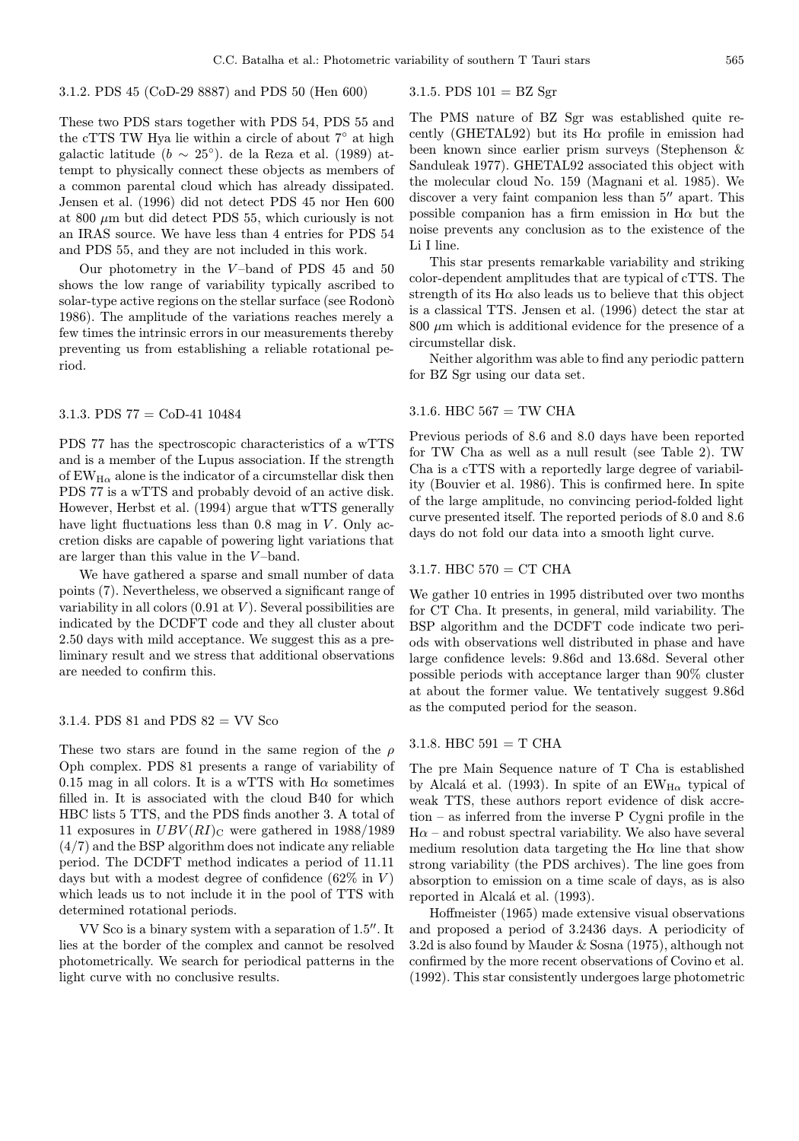3.1.2. PDS 45 (CoD-29 8887) and PDS 50 (Hen 600)

These two PDS stars together with PDS 54, PDS 55 and the cTTS TW Hya lie within a circle of about 7◦ at high galactic latitude ( $b \sim 25^{\circ}$ ). de la Reza et al. (1989) attempt to physically connect these objects as members of a common parental cloud which has already dissipated. Jensen et al. (1996) did not detect PDS 45 nor Hen 600 at 800  $\mu$ m but did detect PDS 55, which curiously is not an IRAS source. We have less than 4 entries for PDS 54 and PDS 55, and they are not included in this work.

Our photometry in the  $V$ -band of PDS 45 and 50 shows the low range of variability typically ascribed to solar-type active regions on the stellar surface (see Rodonò 1986). The amplitude of the variations reaches merely a few times the intrinsic errors in our measurements thereby preventing us from establishing a reliable rotational period.

## 3.1.3. PDS 77 = CoD-41 10484

PDS 77 has the spectroscopic characteristics of a wTTS and is a member of the Lupus association. If the strength of  $\mathrm{EW_{H\alpha}}$  alone is the indicator of a circumstellar disk then PDS 77 is a wTTS and probably devoid of an active disk. However, Herbst et al. (1994) argue that wTTS generally have light fluctuations less than  $0.8$  mag in  $V$ . Only accretion disks are capable of powering light variations that are larger than this value in the V –band.

We have gathered a sparse and small number of data points (7). Nevertheless, we observed a significant range of variability in all colors  $(0.91 \text{ at } V)$ . Several possibilities are indicated by the DCDFT code and they all cluster about 2.50 days with mild acceptance. We suggest this as a preliminary result and we stress that additional observations are needed to confirm this.

# 3.1.4. PDS  $81$  and PDS  $82 = \text{VV}$  Sco

These two stars are found in the same region of the  $\rho$ Oph complex. PDS 81 presents a range of variability of 0.15 mag in all colors. It is a wTTS with  $H\alpha$  sometimes filled in. It is associated with the cloud B40 for which HBC lists 5 TTS, and the PDS finds another 3. A total of 11 exposures in  $UBV(RI)_{\text{C}}$  were gathered in 1988/1989 (4/7) and the BSP algorithm does not indicate any reliable period. The DCDFT method indicates a period of 11.11 days but with a modest degree of confidence  $(62\% \text{ in } V)$ which leads us to not include it in the pool of TTS with determined rotational periods.

VV Sco is a binary system with a separation of 1.5". It lies at the border of the complex and cannot be resolved photometrically. We search for periodical patterns in the light curve with no conclusive results.

# 3.1.5. PDS  $101 = BZ$  Sgr

The PMS nature of BZ Sgr was established quite recently (GHETAL92) but its  $H\alpha$  profile in emission had been known since earlier prism surveys (Stephenson & Sanduleak 1977). GHETAL92 associated this object with the molecular cloud No. 159 (Magnani et al. 1985). We discover a very faint companion less than  $5<sup>′</sup>$  apart. This possible companion has a firm emission in  $H\alpha$  but the noise prevents any conclusion as to the existence of the Li I line.

This star presents remarkable variability and striking color-dependent amplitudes that are typical of cTTS. The strength of its  $H\alpha$  also leads us to believe that this object is a classical TTS. Jensen et al. (1996) detect the star at  $800 \mu m$  which is additional evidence for the presence of a circumstellar disk.

Neither algorithm was able to find any periodic pattern for BZ Sgr using our data set.

# 3.1.6. HBC  $567 = TW$  CHA

Previous periods of 8.6 and 8.0 days have been reported for TW Cha as well as a null result (see Table 2). TW Cha is a cTTS with a reportedly large degree of variability (Bouvier et al. 1986). This is confirmed here. In spite of the large amplitude, no convincing period-folded light curve presented itself. The reported periods of 8.0 and 8.6 days do not fold our data into a smooth light curve.

#### 3.1.7. HBC  $570 = CT$  CHA

We gather 10 entries in 1995 distributed over two months for CT Cha. It presents, in general, mild variability. The BSP algorithm and the DCDFT code indicate two periods with observations well distributed in phase and have large confidence levels: 9.86d and 13.68d. Several other possible periods with acceptance larger than 90% cluster at about the former value. We tentatively suggest 9.86d as the computed period for the season.

# 3.1.8. HBC  $591 = T$  CHA

The pre Main Sequence nature of T Cha is established by Alcalá et al. (1993). In spite of an  $EW_{H\alpha}$  typical of weak TTS, these authors report evidence of disk accretion – as inferred from the inverse P Cygni profile in the  $H\alpha$  – and robust spectral variability. We also have several medium resolution data targeting the  $H\alpha$  line that show strong variability (the PDS archives). The line goes from absorption to emission on a time scale of days, as is also reported in Alcalá et al. (1993).

Hoffmeister (1965) made extensive visual observations and proposed a period of 3.2436 days. A periodicity of 3.2d is also found by Mauder & Sosna (1975), although not confirmed by the more recent observations of Covino et al. (1992). This star consistently undergoes large photometric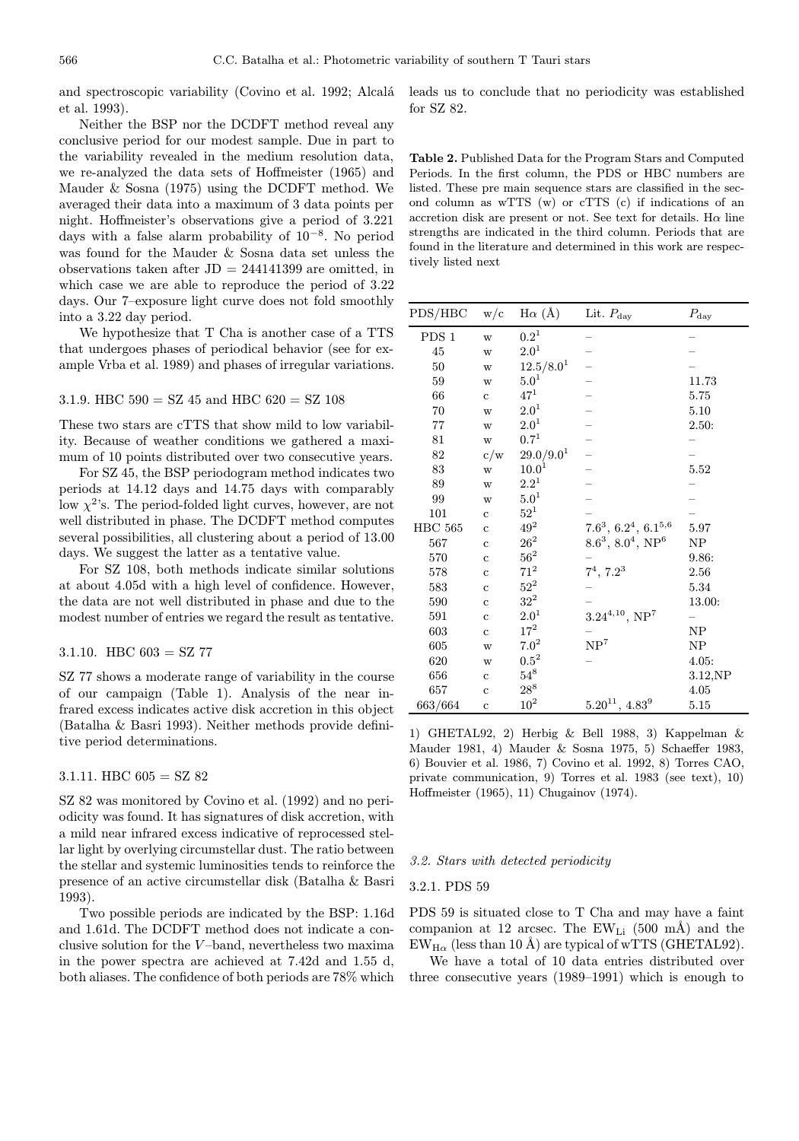and spectroscopic variability (Covino et al. 1992; Alcalá et al. 1993).

Neither the BSP nor the DCDFT method reveal any conclusive period for our modest sample. Due in part to the variability revealed in the medium resolution data, we re-analyzed the data sets of Hoffmeister (1965) and Mauder & Sosna (1975) using the DCDFT method. We averaged their data into a maximum of 3 data points per night. Hoffmeister's observations give a period of 3.221 days with a false alarm probability of 10<sup>−</sup><sup>8</sup>. No period was found for the Mauder & Sosna data set unless the observations taken after  $JD = 244141399$  are omitted, in which case we are able to reproduce the period of 3.22 days. Our 7–exposure light curve does not fold smoothly into a 3.22 day period.

We hypothesize that T Cha is another case of a TTS that undergoes phases of periodical behavior (see for example Vrba et al. 1989) and phases of irregular variations.

#### 3.1.9. HBC  $590 = SZ$  45 and HBC  $620 = SZ$  108

These two stars are cTTS that show mild to low variability. Because of weather conditions we gathered a maximum of 10 points distributed over two consecutive years.

For SZ 45, the BSP periodogram method indicates two periods at 14.12 days and 14.75 days with comparably low  $\chi^2$ 's. The period-folded light curves, however, are not well distributed in phase. The DCDFT method computes several possibilities, all clustering about a period of 13.00 days. We suggest the latter as a tentative value.

For SZ 108, both methods indicate similar solutions at about 4.05d with a high level of confidence. However, the data are not well distributed in phase and due to the modest number of entries we regard the result as tentative.

# 3.1.10. HBC  $603 = SZ 77$

SZ 77 shows a moderate range of variability in the course of our campaign (Table 1). Analysis of the near infrared excess indicates active disk accretion in this object (Batalha & Basri 1993). Neither methods provide definitive period determinations.

# 3.1.11. HBC  $605 = SZ 82$

SZ 82 was monitored by Covino et al. (1992) and no periodicity was found. It has signatures of disk accretion, with a mild near infrared excess indicative of reprocessed stellar light by overlying circumstellar dust. The ratio between the stellar and systemic luminosities tends to reinforce the presence of an active circumstellar disk (Batalha & Basri 1993).

Two possible periods are indicated by the BSP: 1.16d and 1.61d. The DCDFT method does not indicate a conclusive solution for the  $V$ -band, nevertheless two maxima in the power spectra are achieved at 7.42d and 1.55 d, both aliases. The confidence of both periods are 78% which leads us to conclude that no periodicity was established for SZ 82.

Table 2. Published Data for the Program Stars and Computed Periods. In the first column, the PDS or HBC numbers are listed. These pre main sequence stars are classified in the second column as wTTS (w) or cTTS (c) if indications of an accretion disk are present or not. See text for details. H $\alpha$  line strengths are indicated in the third column. Periods that are found in the literature and determined in this work are respectively listed next

| $\operatorname{PDS}/\operatorname{HBC}$ | $\mathrm{w}/\mathrm{c}$ | $\mathrm{H}\alpha$ $(\mbox{\AA})$ | Lit. $P_{\text{day}}$               | $P_{\rm day}$ |
|-----------------------------------------|-------------------------|-----------------------------------|-------------------------------------|---------------|
| PDS 1                                   | W                       | $0.2^{\rm 1}$                     |                                     |               |
| 45                                      | W                       | $2.0^1$                           |                                     |               |
| $50\,$                                  | W                       | $12.5/8.0^{1}$                    |                                     |               |
| 59                                      | W                       | $5.0^1$                           |                                     | 11.73         |
| 66                                      | $\ddot{c}$              | $47^{1}$                          |                                     | 5.75          |
| 70                                      | W                       | $2.0^1$                           |                                     | 5.10          |
| $77\,$                                  | W                       | $2.0^1$                           |                                     | 2.50:         |
| 81                                      | W                       | $0.7^{1}$                         |                                     |               |
| 82                                      | $\rm c/w$               | 29.0/9.0 <sup>1</sup>             |                                     |               |
| 83                                      | W                       | $10.0^{1}$                        |                                     | 5.52          |
| 89                                      | W                       | $2.2^{1}$                         |                                     |               |
| 99                                      | W                       | 5.0 <sup>1</sup>                  |                                     |               |
| 101                                     | $\mathbf c$             | $52^1$                            |                                     |               |
| <b>HBC 565</b>                          | $\mathbf c$             | $49^2$                            | $7.6^3, 6.2^4, 6.1^{5,6}$           | 5.97          |
| 567                                     | $\ddot{c}$              | $26^2$                            | $8.6^3$ , $8.0^4$ , NP <sup>6</sup> | ${\rm NP}$    |
| 570                                     | $\mathbf c$             | $56^2\,$                          |                                     | 9.86:         |
| 578                                     | $\mathbf c$             | $71^2$                            | $7^4$ , $7.2^3$                     | 2.56          |
| 583                                     | $\ddot{c}$              | $52^2$                            |                                     | 5.34          |
| 590                                     | $\mathbf c$             | $32^2$                            |                                     | 13.00:        |
| 591                                     | $\mathbf c$             | $2.0^1$                           | $3.24^{4,10}$ , NP <sup>7</sup>     |               |
| 603                                     | $\mathbf c$             | $17^2\,$                          |                                     | ${\rm NP}$    |
| 605                                     | W                       | $7.0^{2}$                         | NP <sup>7</sup>                     | ${\rm NP}$    |
| 620                                     | W                       | $0.5^{2}$                         |                                     | 4.05:         |
| 656                                     | $\ddot{c}$              | $54^{8}$                          |                                     | 3.12,NP       |
| 657                                     | $\mathbf c$             | $28^8\,$                          |                                     | $4.05\,$      |
| 663/664                                 | $\mathbf c$             | $10^2\,$                          | $5.20^{11},\,4.83^9$                | 5.15          |

1) GHETAL92, 2) Herbig & Bell 1988, 3) Kappelman & Mauder 1981, 4) Mauder & Sosna 1975, 5) Schaeffer 1983, 6) Bouvier et al. 1986, 7) Covino et al. 1992, 8) Torres CAO, private communication, 9) Torres et al. 1983 (see text), 10) Hoffmeister (1965), 11) Chugainov (1974).

# 3.2. Stars with detected periodicity

#### 3.2.1. PDS 59

PDS 59 is situated close to T Cha and may have a faint companion at 12 arcsec. The  $EW_{Li}$  (500 mÅ) and the  $EW_{H\alpha}$  (less than 10 Å) are typical of wTTS (GHETAL92).

We have a total of 10 data entries distributed over three consecutive years (1989–1991) which is enough to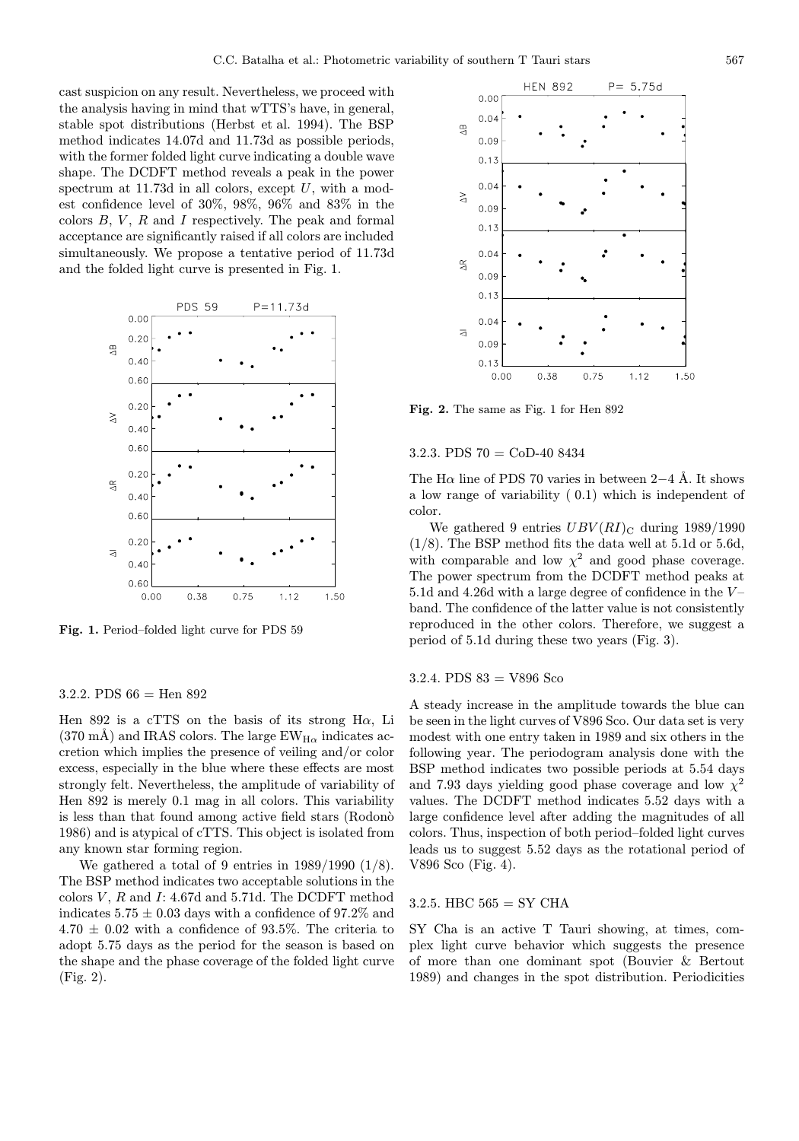cast suspicion on any result. Nevertheless, we proceed with the analysis having in mind that wTTS's have, in general, stable spot distributions (Herbst et al. 1994). The BSP method indicates 14.07d and 11.73d as possible periods, with the former folded light curve indicating a double wave shape. The DCDFT method reveals a peak in the power spectrum at 11.73d in all colors, except  $U$ , with a modest confidence level of 30%, 98%, 96% and 83% in the colors  $B, V, R$  and I respectively. The peak and formal acceptance are significantly raised if all colors are included simultaneously. We propose a tentative period of 11.73d and the folded light curve is presented in Fig. 1.



Fig. 1. Period–folded light curve for PDS 59

## 3.2.2. PDS  $66 =$  Hen  $892$

Hen 892 is a cTTS on the basis of its strong H $\alpha$ , Li  $(370 \text{ mA})$  and IRAS colors. The large EW<sub>H $\alpha$ </sub> indicates accretion which implies the presence of veiling and/or color excess, especially in the blue where these effects are most strongly felt. Nevertheless, the amplitude of variability of Hen 892 is merely 0.1 mag in all colors. This variability is less than that found among active field stars (Rodono 1986) and is atypical of cTTS. This object is isolated from any known star forming region.

We gathered a total of 9 entries in  $1989/1990$  (1/8). The BSP method indicates two acceptable solutions in the colors  $V$ ,  $R$  and  $I: 4.67d$  and  $5.71d$ . The DCDFT method indicates  $5.75 \pm 0.03$  days with a confidence of 97.2% and  $4.70 \pm 0.02$  with a confidence of 93.5%. The criteria to adopt 5.75 days as the period for the season is based on the shape and the phase coverage of the folded light curve (Fig. 2).



Fig. 2. The same as Fig. 1 for Hen 892

### 3.2.3. PDS 70 = CoD-40 8434

The H $\alpha$  line of PDS 70 varies in between 2–4 Å. It shows a low range of variability ( 0.1) which is independent of color.

We gathered 9 entries  $UBV(RI)_{\text{C}}$  during 1989/1990 (1/8). The BSP method fits the data well at 5.1d or 5.6d, with comparable and low  $\chi^2$  and good phase coverage. The power spectrum from the DCDFT method peaks at 5.1d and 4.26d with a large degree of confidence in the  $V$ band. The confidence of the latter value is not consistently reproduced in the other colors. Therefore, we suggest a period of 5.1d during these two years (Fig. 3).

# 3.2.4. PDS  $83 = V896$  Sco

A steady increase in the amplitude towards the blue can be seen in the light curves of V896 Sco. Our data set is very modest with one entry taken in 1989 and six others in the following year. The periodogram analysis done with the BSP method indicates two possible periods at 5.54 days and 7.93 days yielding good phase coverage and low  $\chi^2$ values. The DCDFT method indicates 5.52 days with a large confidence level after adding the magnitudes of all colors. Thus, inspection of both period–folded light curves leads us to suggest 5.52 days as the rotational period of V896 Sco (Fig. 4).

## 3.2.5. HBC  $565 = SY \text{ CHA}$

SY Cha is an active T Tauri showing, at times, complex light curve behavior which suggests the presence of more than one dominant spot (Bouvier & Bertout 1989) and changes in the spot distribution. Periodicities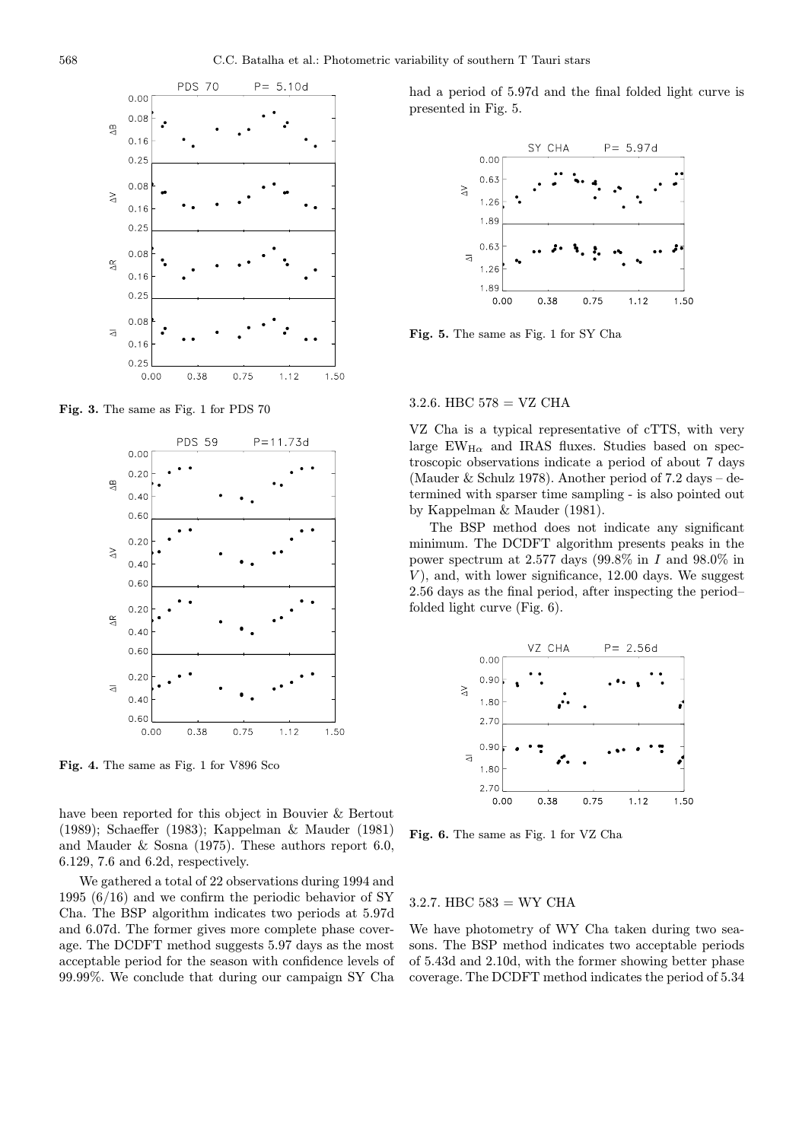

Fig. 3. The same as Fig. 1 for PDS 70



Fig. 4. The same as Fig. 1 for V896 Sco

have been reported for this object in Bouvier & Bertout (1989); Schaeffer (1983); Kappelman & Mauder (1981) and Mauder & Sosna (1975). These authors report 6.0, 6.129, 7.6 and 6.2d, respectively.

We gathered a total of 22 observations during 1994 and 1995 (6/16) and we confirm the periodic behavior of SY Cha. The BSP algorithm indicates two periods at 5.97d and 6.07d. The former gives more complete phase coverage. The DCDFT method suggests 5.97 days as the most acceptable period for the season with confidence levels of 99.99%. We conclude that during our campaign SY Cha

had a period of 5.97d and the final folded light curve is presented in Fig. 5.



Fig. 5. The same as Fig. 1 for SY Cha

#### 3.2.6. HBC  $578 = \text{VZ} \text{ CHA}$

VZ Cha is a typical representative of cTTS, with very large  $EW_{H\alpha}$  and IRAS fluxes. Studies based on spectroscopic observations indicate a period of about 7 days (Mauder  $&$  Schulz 1978). Another period of 7.2 days – determined with sparser time sampling - is also pointed out by Kappelman & Mauder (1981).

The BSP method does not indicate any significant minimum. The DCDFT algorithm presents peaks in the power spectrum at 2.577 days (99.8% in  $I$  and 98.0% in  $V$ ), and, with lower significance, 12.00 days. We suggest 2.56 days as the final period, after inspecting the period– folded light curve (Fig. 6).



Fig. 6. The same as Fig. 1 for VZ Cha

#### $3.2.7.$  HBC  $583 = WY$  CHA

We have photometry of WY Cha taken during two seasons. The BSP method indicates two acceptable periods of 5.43d and 2.10d, with the former showing better phase coverage. The DCDFT method indicates the period of 5.34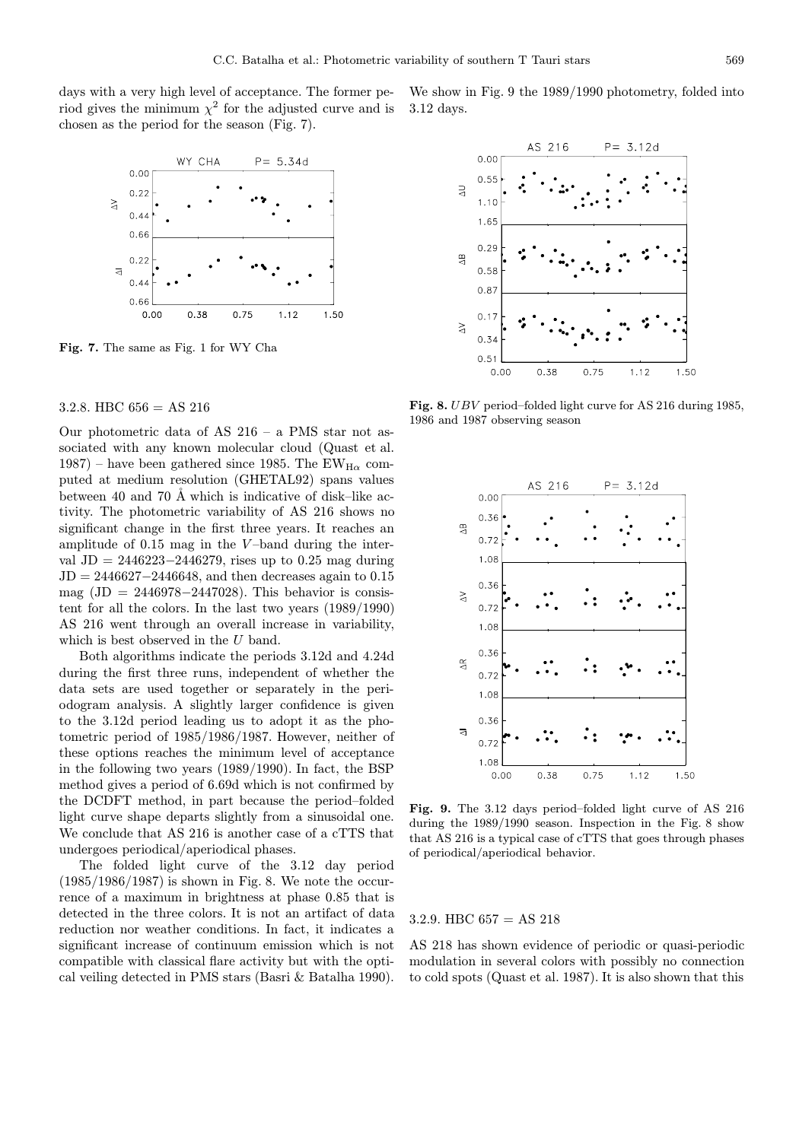days with a very high level of acceptance. The former period gives the minimum  $\chi^2$  for the adjusted curve and is chosen as the period for the season (Fig. 7).



Fig. 7. The same as Fig. 1 for WY Cha

# 3.2.8. HBC  $656 = AS$  216

Our photometric data of AS 216 – a PMS star not associated with any known molecular cloud (Quast et al. 1987) – have been gathered since 1985. The EW<sub>H $\alpha$ </sub> computed at medium resolution (GHETAL92) spans values between 40 and 70 Å which is indicative of disk–like activity. The photometric variability of AS 216 shows no significant change in the first three years. It reaches an amplitude of  $0.15$  mag in the V-band during the interval JD = 2446223−2446279, rises up to 0.25 mag during  $JD = 2446627 - 2446648$ , and then decreases again to 0.15 mag  $(JD = 2446978 - 2447028)$ . This behavior is consistent for all the colors. In the last two years (1989/1990) AS 216 went through an overall increase in variability, which is best observed in the  $U$  band.

Both algorithms indicate the periods 3.12d and 4.24d during the first three runs, independent of whether the data sets are used together or separately in the periodogram analysis. A slightly larger confidence is given to the 3.12d period leading us to adopt it as the photometric period of 1985/1986/1987. However, neither of these options reaches the minimum level of acceptance in the following two years (1989/1990). In fact, the BSP method gives a period of 6.69d which is not confirmed by the DCDFT method, in part because the period–folded light curve shape departs slightly from a sinusoidal one. We conclude that AS 216 is another case of a cTTS that undergoes periodical/aperiodical phases.

The folded light curve of the 3.12 day period  $(1985/1986/1987)$  is shown in Fig. 8. We note the occurrence of a maximum in brightness at phase 0.85 that is detected in the three colors. It is not an artifact of data reduction nor weather conditions. In fact, it indicates a significant increase of continuum emission which is not compatible with classical flare activity but with the optical veiling detected in PMS stars (Basri & Batalha 1990).

We show in Fig. 9 the 1989/1990 photometry, folded into 3.12 days.



Fig. 8. UBV period–folded light curve for AS 216 during 1985, 1986 and 1987 observing season



Fig. 9. The 3.12 days period–folded light curve of AS 216 during the 1989/1990 season. Inspection in the Fig. 8 show that AS 216 is a typical case of cTTS that goes through phases of periodical/aperiodical behavior.

#### 3.2.9. HBC  $657 = AS$  218

AS 218 has shown evidence of periodic or quasi-periodic modulation in several colors with possibly no connection to cold spots (Quast et al. 1987). It is also shown that this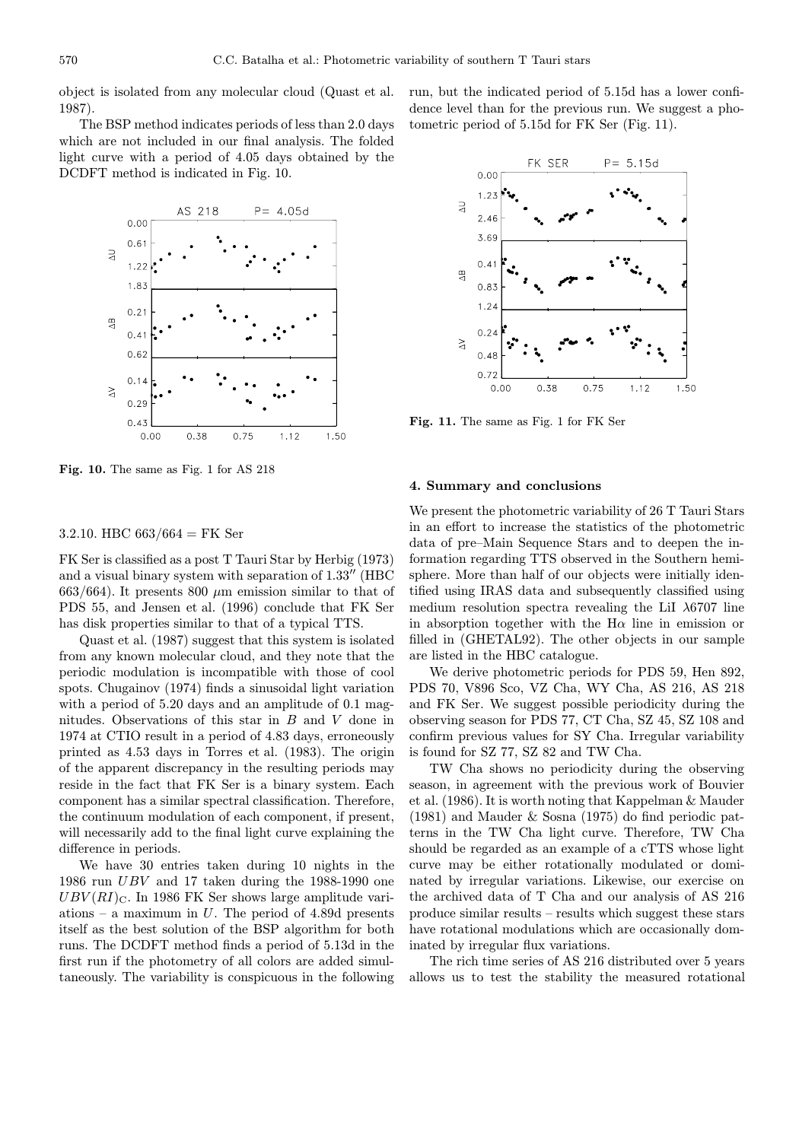object is isolated from any molecular cloud (Quast et al. 1987).

The BSP method indicates periods of less than 2.0 days which are not included in our final analysis. The folded light curve with a period of 4.05 days obtained by the DCDFT method is indicated in Fig. 10.



Fig. 10. The same as Fig. 1 for AS 218

# 3.2.10. HBC  $663/664 =$  FK Ser

FK Ser is classified as a post T Tauri Star by Herbig (1973) and a visual binary system with separation of  $1.33''$  (HBC  $663/664$ ). It presents 800  $\mu$ m emission similar to that of PDS 55, and Jensen et al. (1996) conclude that FK Ser has disk properties similar to that of a typical TTS.

Quast et al. (1987) suggest that this system is isolated from any known molecular cloud, and they note that the periodic modulation is incompatible with those of cool spots. Chugainov (1974) finds a sinusoidal light variation with a period of 5.20 days and an amplitude of 0.1 magnitudes. Observations of this star in B and V done in 1974 at CTIO result in a period of 4.83 days, erroneously printed as 4.53 days in Torres et al. (1983). The origin of the apparent discrepancy in the resulting periods may reside in the fact that FK Ser is a binary system. Each component has a similar spectral classification. Therefore, the continuum modulation of each component, if present, will necessarily add to the final light curve explaining the difference in periods.

We have 30 entries taken during 10 nights in the 1986 run UBV and 17 taken during the 1988-1990 one  $UBV(RI)_{\text{C}}$ . In 1986 FK Ser shows large amplitude variations – a maximum in  $U$ . The period of 4.89d presents itself as the best solution of the BSP algorithm for both runs. The DCDFT method finds a period of 5.13d in the first run if the photometry of all colors are added simultaneously. The variability is conspicuous in the following

run, but the indicated period of 5.15d has a lower confidence level than for the previous run. We suggest a photometric period of 5.15d for FK Ser (Fig. 11).



Fig. 11. The same as Fig. 1 for FK Ser

#### 4. Summary and conclusions

We present the photometric variability of 26 T Tauri Stars in an effort to increase the statistics of the photometric data of pre–Main Sequence Stars and to deepen the information regarding TTS observed in the Southern hemisphere. More than half of our objects were initially identified using IRAS data and subsequently classified using medium resolution spectra revealing the LiI  $\lambda$ 6707 line in absorption together with the  $H\alpha$  line in emission or filled in (GHETAL92). The other objects in our sample are listed in the HBC catalogue.

We derive photometric periods for PDS 59, Hen 892, PDS 70, V896 Sco, VZ Cha, WY Cha, AS 216, AS 218 and FK Ser. We suggest possible periodicity during the observing season for PDS 77, CT Cha, SZ 45, SZ 108 and confirm previous values for SY Cha. Irregular variability is found for SZ 77, SZ 82 and TW Cha.

TW Cha shows no periodicity during the observing season, in agreement with the previous work of Bouvier et al. (1986). It is worth noting that Kappelman & Mauder (1981) and Mauder & Sosna (1975) do find periodic patterns in the TW Cha light curve. Therefore, TW Cha should be regarded as an example of a cTTS whose light curve may be either rotationally modulated or dominated by irregular variations. Likewise, our exercise on the archived data of T Cha and our analysis of AS 216 produce similar results – results which suggest these stars have rotational modulations which are occasionally dominated by irregular flux variations.

The rich time series of AS 216 distributed over 5 years allows us to test the stability the measured rotational